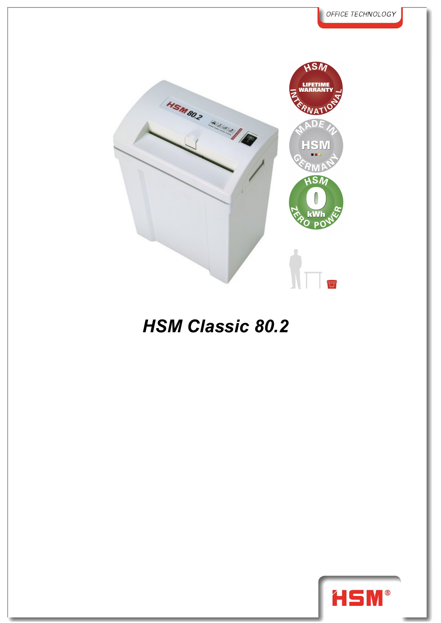

## *HSM Classic 80.2*

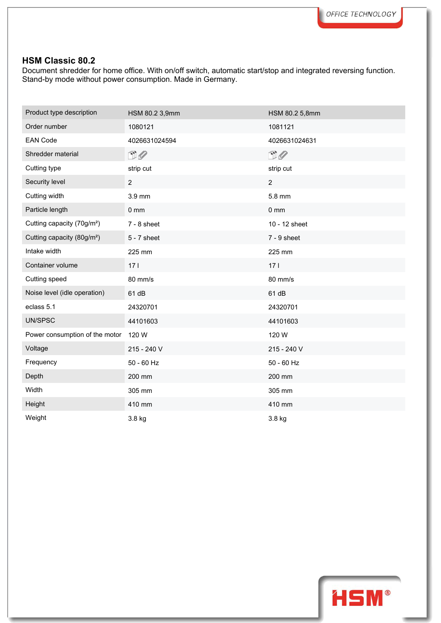## **HSM Classic 80.2**

Document shredder for home office. With on/off switch, automatic start/stop and integrated reversing function. Stand-by mode without power consumption. Made in Germany.

| Product type description               | HSM 80.2 3,9mm  | HSM 80.2 5,8mm |
|----------------------------------------|-----------------|----------------|
| Order number                           | 1080121         | 1081121        |
| <b>EAN Code</b>                        | 4026631024594   | 4026631024631  |
| Shredder material                      | $\Box$          | $\Box$         |
| Cutting type                           | strip cut       | strip cut      |
| Security level                         | $\overline{c}$  | $\overline{2}$ |
| Cutting width                          | 3.9 mm          | 5.8 mm         |
| Particle length                        | $0 \text{ mm}$  | $0 \text{ mm}$ |
| Cutting capacity (70g/m <sup>2</sup> ) | $7 - 8$ sheet   | 10 - 12 sheet  |
| Cutting capacity (80g/m <sup>2</sup> ) | $5 - 7$ sheet   | $7 - 9$ sheet  |
| Intake width                           | 225 mm          | 225 mm         |
| Container volume                       | 17 <sub>1</sub> | 171            |
| Cutting speed                          | 80 mm/s         | 80 mm/s        |
| Noise level (idle operation)           | 61 dB           | 61 dB          |
| eclass 5.1                             | 24320701        | 24320701       |
| UN/SPSC                                | 44101603        | 44101603       |
| Power consumption of the motor         | 120 W           | 120 W          |
| Voltage                                | 215 - 240 V     | 215 - 240 V    |
| Frequency                              | 50 - 60 Hz      | 50 - 60 Hz     |
| Depth                                  | 200 mm          | 200 mm         |
| Width                                  | 305 mm          | 305 mm         |
| Height                                 | 410 mm          | 410 mm         |
| Weight                                 | 3.8 kg          | 3.8 kg         |